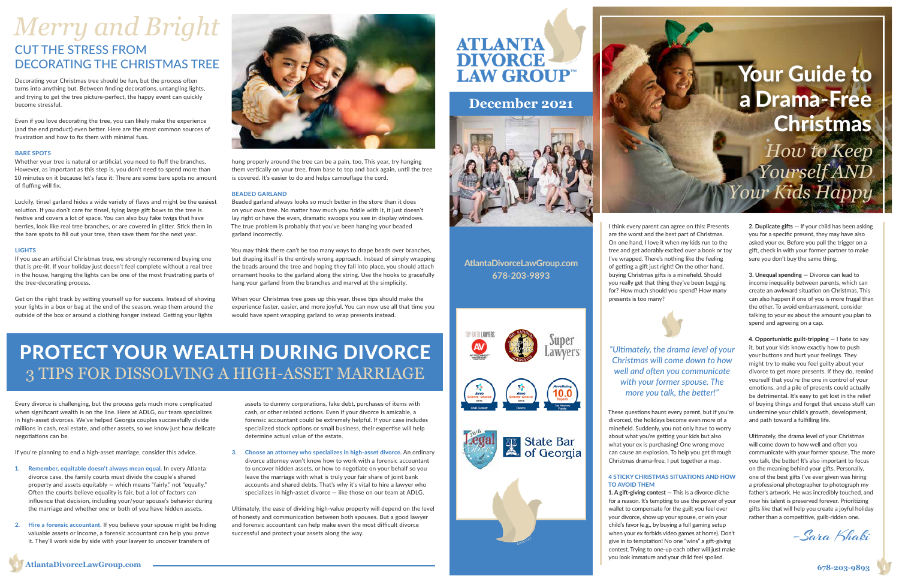I think every parent can agree on this: Presents are the worst and the best part of Christmas. On one hand, I love it when my kids run to the tree and get adorably excited over a book or toy I've wrapped. There's nothing like the feeling of getting a gift just right! On the other hand, buying Christmas gifts is a minefield. Should you really get that thing they've been begging for? How much should you spend? How many presents is too many?

These questions haunt every parent, but if you're divorced, the holidays become even more of a minefield. Suddenly, you not only have to worry about what you're getting your kids but also what your ex is purchasing! One wrong move can cause an explosion. To help you get through Christmas drama-free, I put together a map.

#### 4 STICKY CHRISTMAS SITUATIONS AND HOW

## TO AVOID THEM

**1. A gift-giving contest** — This is a divorce cliche for a reason. It's tempting to use the power of your wallet to compensate for the guilt you feel over your divorce, show up your spouse, or win your child's favor (e.g., by buying a full gaming setup when your ex forbids video games at home). Don't give in to temptation! No one "wins" a gift-giving contest. Trying to one-up each other will just make you look immature and your child feel spoiled.

**2. Duplicate gifts** — If your child has been asking you for a specific present, they may have also asked your ex. Before you pull the trigger on a gift, check in with your former partner to make sure you don't buy the same thing.

**3. Unequal spending** — Divorce can lead to income inequality between parents, which can create an awkward situation on Christmas. This can also happen if one of you is more frugal than the other. To avoid embarrassment, consider talking to your ex about the amount you plan to spend and agreeing on a cap.

**4. Opportunistic guilt-tripping** — I hate to say it, but your kids know exactly how to push your buttons and hurt your feelings. They might try to make you feel guilty about your divorce to get more presents. If they do, remind yourself that you're the one in control of your emotions, and a pile of presents could actually be detrimental. It's easy to get lost in the relief of buying things and forget that excess stuff can undermine your child's growth, development, and path toward a fulfilling life.

Ultimately, the drama level of your Christmas will come down to how well and often you communicate with your former spouse. The more you talk, the better! It's also important to focus on the meaning behind your gifts. Personally, one of the best gifts I've ever given was hiring a professional photographer to photograph my father's artwork. He was incredibly touched, and now his talent is preserved forever. Prioritizing gifts like that will help you create a joyful holiday rather than a competitive, guilt-ridden one.

**AtlantaDivorceLawGroup.com 678-203-9893**



Super awvers





State Bar<br>
State Bar<br>
of Georgia

### **December 2021**



–Sara Khaki

*"Ultimately, the drama level of your Christmas will come down to how well and often you communicate with your former spouse. The more you talk, the better!"*

Every divorce is challenging, but the process gets much more complicated when significant wealth is on the line. Here at ADLG, our team specializes in high-asset divorces. We've helped Georgia couples successfully divide millions in cash, real estate, and other assets, so we know just how delicate negotiations can be.

If you're planning to end a high-asset marriage, consider this advice.

- 1. Remember, equitable doesn't always mean equal. In every Atlanta divorce case, the family courts must divide the couple's shared property and assets equitably — which means "fairly," not "equally." Often the courts believe equality is fair, but a lot of factors can influence that decision, including your/your spouse's behavior during the marriage and whether one or both of you have hidden assets.
- 2. Hire a forensic accountant. If you believe your spouse might be hiding valuable assets or income, a forensic accountant can help you prove it. They'll work side by side with your lawyer to uncover transfers of

# CUT THE STRESS FROM<br>DECORATING THE CHRISTMAS TREE *Merry and Bright*

assets to dummy corporations, fake debt, purchases of items with cash, or other related actions. Even if your divorce is amicable, a forensic accountant could be extremely helpful. If your case includes specialized stock options or small business, their expertise will help determine actual value of the estate.

3. Choose an attorney who specializes in high-asset divorce. An ordinary divorce attorney won't know how to work with a forensic accountant to uncover hidden assets, or how to negotiate on your behalf so you leave the marriage with what is truly your fair share of joint bank accounts and shared debts. That's why it's vital to hire a lawyer who specializes in high-asset divorce — like those on our team at ADLG.

Ultimately, the ease of dividing high-value property will depend on the level of honesty and communication between both spouses. But a good lawyer and forensic accountant can help make even the most difficult divorce successful and protect your assets along the way.

# **ATLANTA**

Decorating your Christmas tree should be fun, but the process often turns into anything but. Between finding decorations, untangling lights, and trying to get the tree picture-perfect, the happy event can quickly become stressful.

## 3 TIPS FOR DISSOLVING A HIGH-ASSET MARRIAGE PROTECT YOUR WEALTH DURING DIVORCE

Even if you love decorating the tree, you can likely make the experience (and the end product) even better. Here are the most common sources of frustration and how to fix them with minimal fuss.

#### BARE SPOTS

Whether your tree is natural or artificial, you need to fluff the branches. However, as important as this step is, you don't need to spend more than 10 minutes on it because let's face it: There are some bare spots no amount of fluffing will fix.

Luckily, tinsel garland hides a wide variety of flaws and might be the easiest solution. If you don't care for tinsel, tying large gift bows to the tree is festive and covers a lot of space. You can also buy fake twigs that have berries, look like real tree branches, or are covered in glitter. Stick them in the bare spots to fill out your tree, then save them for the next year.

#### **LIGHTS**

If you use an artificial Christmas tree, we strongly recommend buying one that is pre-lit. If your holiday just doesn't feel complete without a real tree in the house, hanging the lights can be one of the most frustrating parts of the tree-decorating process.

Get on the right track by setting yourself up for success. Instead of shoving your lights in a box or bag at the end of the season, wrap them around the outside of the box or around a clothing hanger instead. Getting your lights



hung properly around the tree can be a pain, too. This year, try hanging them vertically on your tree, from base to top and back again, until the tree is covered. It's easier to do and helps camouflage the cord.

#### BEADED GARLAND

Beaded garland always looks so much better in the store than it does on your own tree. No matter how much you fiddle with it, it just doesn't lay right or have the even, dramatic swoops you see in display windows. The true problem is probably that you've been hanging your beaded garland incorrectly.

You may think there can't be too many ways to drape beads over branches, but draping itself is the entirely wrong approach. Instead of simply wrapping the beads around the tree and hoping they fall into place, you should attach ornament hooks to the garland along the string. Use the hooks to gracefully hang your garland from the branches and marvel at the simplicity.

When your Christmas tree goes up this year, these tips should make the experience faster, easier, and more joyful. You can now use all that time you would have spent wrapping garland to wrap presents instead.